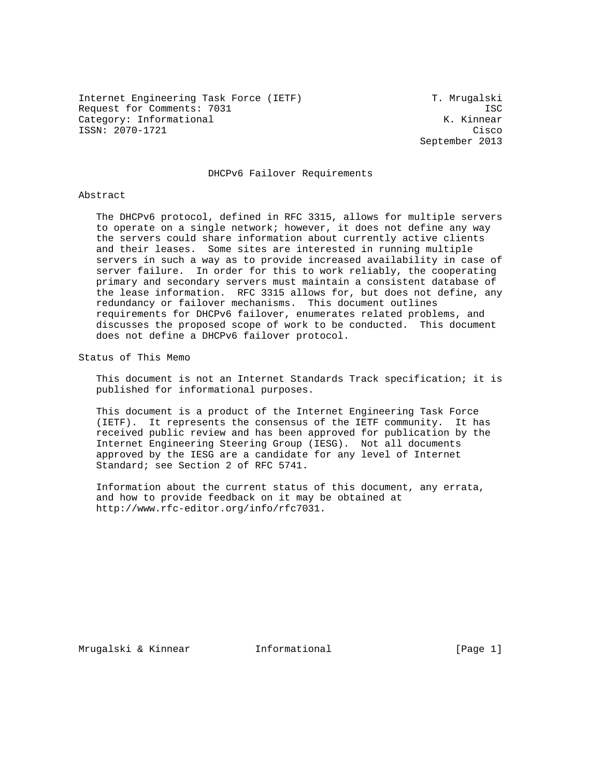Internet Engineering Task Force (IETF) T. Mrugalski Request for Comments: 7031 ISC Category: Informational  $K.$  Kinnear ISSN: 2070-1721 Cisco

September 2013

# DHCPv6 Failover Requirements

#### Abstract

 The DHCPv6 protocol, defined in RFC 3315, allows for multiple servers to operate on a single network; however, it does not define any way the servers could share information about currently active clients and their leases. Some sites are interested in running multiple servers in such a way as to provide increased availability in case of server failure. In order for this to work reliably, the cooperating primary and secondary servers must maintain a consistent database of the lease information. RFC 3315 allows for, but does not define, any redundancy or failover mechanisms. This document outlines requirements for DHCPv6 failover, enumerates related problems, and discusses the proposed scope of work to be conducted. This document does not define a DHCPv6 failover protocol.

Status of This Memo

 This document is not an Internet Standards Track specification; it is published for informational purposes.

 This document is a product of the Internet Engineering Task Force (IETF). It represents the consensus of the IETF community. It has received public review and has been approved for publication by the Internet Engineering Steering Group (IESG). Not all documents approved by the IESG are a candidate for any level of Internet Standard; see Section 2 of RFC 5741.

 Information about the current status of this document, any errata, and how to provide feedback on it may be obtained at http://www.rfc-editor.org/info/rfc7031.

Mrugalski & Kinnear Informational [Page 1]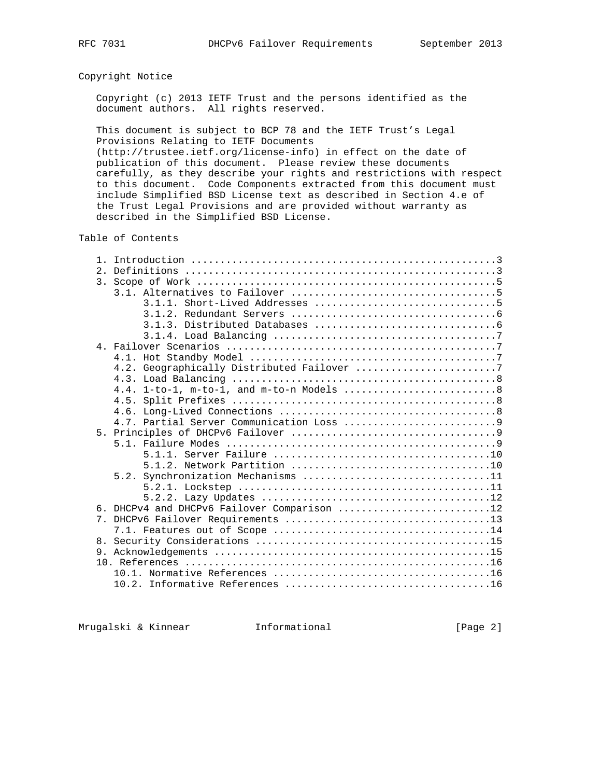# Copyright Notice

 Copyright (c) 2013 IETF Trust and the persons identified as the document authors. All rights reserved.

 This document is subject to BCP 78 and the IETF Trust's Legal Provisions Relating to IETF Documents

 (http://trustee.ietf.org/license-info) in effect on the date of publication of this document. Please review these documents carefully, as they describe your rights and restrictions with respect to this document. Code Components extracted from this document must include Simplified BSD License text as described in Section 4.e of the Trust Legal Provisions and are provided without warranty as described in the Simplified BSD License.

Table of Contents

| 2.1                                            |
|------------------------------------------------|
|                                                |
|                                                |
|                                                |
|                                                |
|                                                |
|                                                |
|                                                |
|                                                |
| 4.2. Geographically Distributed Failover 7     |
|                                                |
|                                                |
|                                                |
|                                                |
|                                                |
| 5 <sub>1</sub>                                 |
|                                                |
|                                                |
|                                                |
| 5.2. Synchronization Mechanisms 11             |
|                                                |
|                                                |
| DHCPv4 and DHCPv6 Failover Comparison 12<br>б. |
| $7_{\odot}$                                    |
|                                                |
|                                                |
|                                                |
|                                                |
|                                                |
|                                                |

Mrugalski & Kinnear **Informational Informational** [Page 2]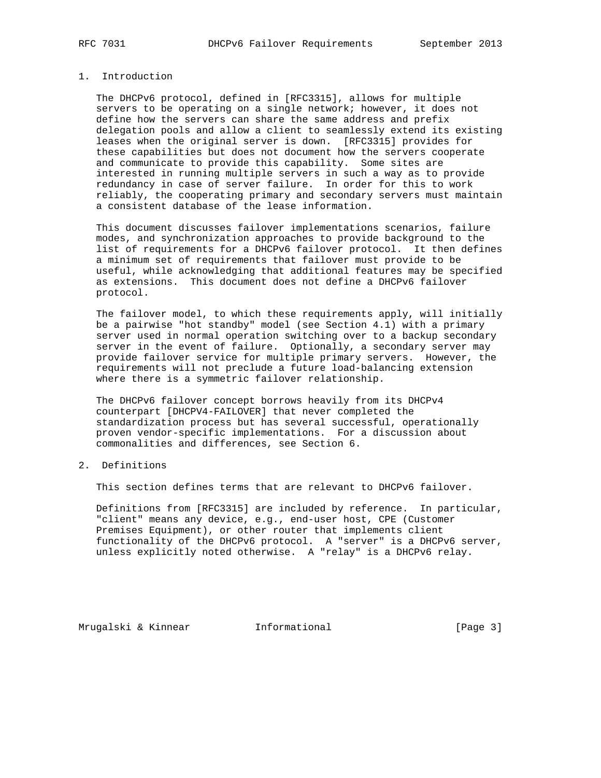# 1. Introduction

 The DHCPv6 protocol, defined in [RFC3315], allows for multiple servers to be operating on a single network; however, it does not define how the servers can share the same address and prefix delegation pools and allow a client to seamlessly extend its existing leases when the original server is down. [RFC3315] provides for these capabilities but does not document how the servers cooperate and communicate to provide this capability. Some sites are interested in running multiple servers in such a way as to provide redundancy in case of server failure. In order for this to work reliably, the cooperating primary and secondary servers must maintain a consistent database of the lease information.

 This document discusses failover implementations scenarios, failure modes, and synchronization approaches to provide background to the list of requirements for a DHCPv6 failover protocol. It then defines a minimum set of requirements that failover must provide to be useful, while acknowledging that additional features may be specified as extensions. This document does not define a DHCPv6 failover protocol.

 The failover model, to which these requirements apply, will initially be a pairwise "hot standby" model (see Section 4.1) with a primary server used in normal operation switching over to a backup secondary server in the event of failure. Optionally, a secondary server may provide failover service for multiple primary servers. However, the requirements will not preclude a future load-balancing extension where there is a symmetric failover relationship.

 The DHCPv6 failover concept borrows heavily from its DHCPv4 counterpart [DHCPV4-FAILOVER] that never completed the standardization process but has several successful, operationally proven vendor-specific implementations. For a discussion about commonalities and differences, see Section 6.

# 2. Definitions

This section defines terms that are relevant to DHCPv6 failover.

 Definitions from [RFC3315] are included by reference. In particular, "client" means any device, e.g., end-user host, CPE (Customer Premises Equipment), or other router that implements client functionality of the DHCPv6 protocol. A "server" is a DHCPv6 server, unless explicitly noted otherwise. A "relay" is a DHCPv6 relay.

Mrugalski & Kinnear **Informational Informational** [Page 3]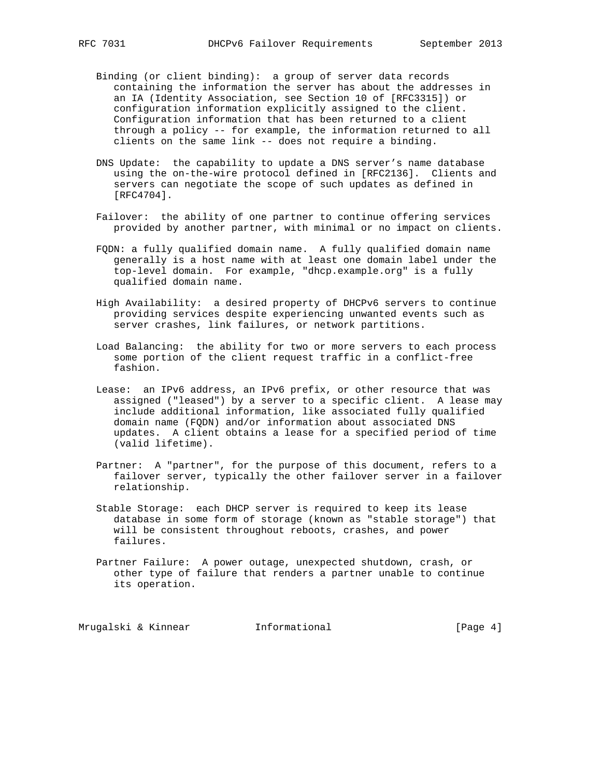- Binding (or client binding): a group of server data records containing the information the server has about the addresses in an IA (Identity Association, see Section 10 of [RFC3315]) or configuration information explicitly assigned to the client. Configuration information that has been returned to a client through a policy -- for example, the information returned to all clients on the same link -- does not require a binding.
- DNS Update: the capability to update a DNS server's name database using the on-the-wire protocol defined in [RFC2136]. Clients and servers can negotiate the scope of such updates as defined in [RFC4704].
- Failover: the ability of one partner to continue offering services provided by another partner, with minimal or no impact on clients.
- FQDN: a fully qualified domain name. A fully qualified domain name generally is a host name with at least one domain label under the top-level domain. For example, "dhcp.example.org" is a fully qualified domain name.
- High Availability: a desired property of DHCPv6 servers to continue providing services despite experiencing unwanted events such as server crashes, link failures, or network partitions.
- Load Balancing: the ability for two or more servers to each process some portion of the client request traffic in a conflict-free fashion.
- Lease: an IPv6 address, an IPv6 prefix, or other resource that was assigned ("leased") by a server to a specific client. A lease may include additional information, like associated fully qualified domain name (FQDN) and/or information about associated DNS updates. A client obtains a lease for a specified period of time (valid lifetime).
- Partner: A "partner", for the purpose of this document, refers to a failover server, typically the other failover server in a failover relationship.
- Stable Storage: each DHCP server is required to keep its lease database in some form of storage (known as "stable storage") that will be consistent throughout reboots, crashes, and power failures.
- Partner Failure: A power outage, unexpected shutdown, crash, or other type of failure that renders a partner unable to continue its operation.

Mrugalski & Kinnear **Informational Informational** [Page 4]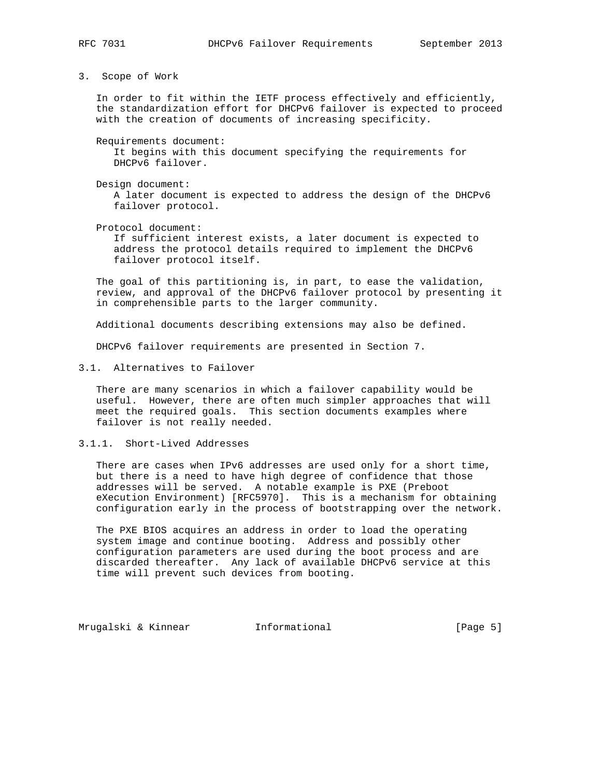3. Scope of Work

 In order to fit within the IETF process effectively and efficiently, the standardization effort for DHCPv6 failover is expected to proceed with the creation of documents of increasing specificity.

 Requirements document: It begins with this document specifying the requirements for DHCPv6 failover.

Design document:

 A later document is expected to address the design of the DHCPv6 failover protocol.

Protocol document:

 If sufficient interest exists, a later document is expected to address the protocol details required to implement the DHCPv6 failover protocol itself.

 The goal of this partitioning is, in part, to ease the validation, review, and approval of the DHCPv6 failover protocol by presenting it in comprehensible parts to the larger community.

Additional documents describing extensions may also be defined.

DHCPv6 failover requirements are presented in Section 7.

3.1. Alternatives to Failover

 There are many scenarios in which a failover capability would be useful. However, there are often much simpler approaches that will meet the required goals. This section documents examples where failover is not really needed.

3.1.1. Short-Lived Addresses

 There are cases when IPv6 addresses are used only for a short time, but there is a need to have high degree of confidence that those addresses will be served. A notable example is PXE (Preboot eXecution Environment) [RFC5970]. This is a mechanism for obtaining configuration early in the process of bootstrapping over the network.

 The PXE BIOS acquires an address in order to load the operating system image and continue booting. Address and possibly other configuration parameters are used during the boot process and are discarded thereafter. Any lack of available DHCPv6 service at this time will prevent such devices from booting.

Mrugalski & Kinnear **Informational Informational** [Page 5]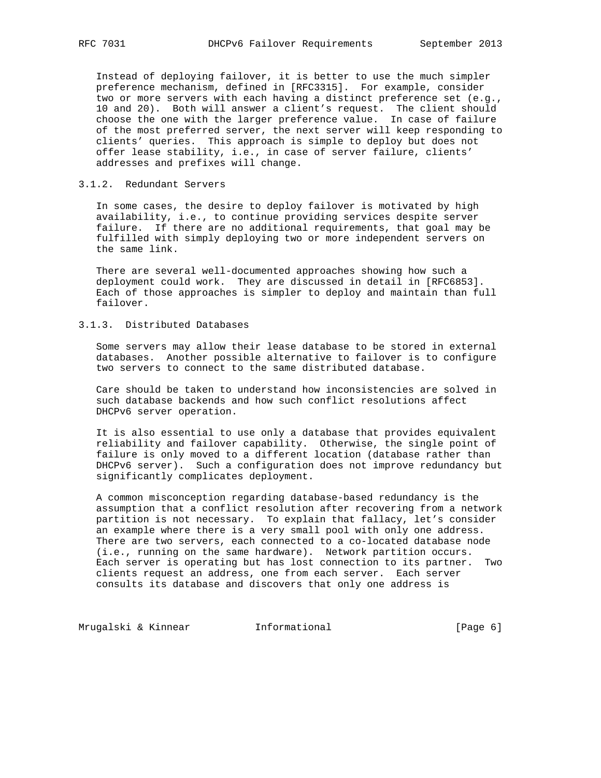Instead of deploying failover, it is better to use the much simpler preference mechanism, defined in [RFC3315]. For example, consider two or more servers with each having a distinct preference set (e.g., 10 and 20). Both will answer a client's request. The client should choose the one with the larger preference value. In case of failure of the most preferred server, the next server will keep responding to clients' queries. This approach is simple to deploy but does not offer lease stability, i.e., in case of server failure, clients' addresses and prefixes will change.

## 3.1.2. Redundant Servers

 In some cases, the desire to deploy failover is motivated by high availability, i.e., to continue providing services despite server failure. If there are no additional requirements, that goal may be fulfilled with simply deploying two or more independent servers on the same link.

 There are several well-documented approaches showing how such a deployment could work. They are discussed in detail in [RFC6853]. Each of those approaches is simpler to deploy and maintain than full failover.

# 3.1.3. Distributed Databases

 Some servers may allow their lease database to be stored in external databases. Another possible alternative to failover is to configure two servers to connect to the same distributed database.

 Care should be taken to understand how inconsistencies are solved in such database backends and how such conflict resolutions affect DHCPv6 server operation.

 It is also essential to use only a database that provides equivalent reliability and failover capability. Otherwise, the single point of failure is only moved to a different location (database rather than DHCPv6 server). Such a configuration does not improve redundancy but significantly complicates deployment.

 A common misconception regarding database-based redundancy is the assumption that a conflict resolution after recovering from a network partition is not necessary. To explain that fallacy, let's consider an example where there is a very small pool with only one address. There are two servers, each connected to a co-located database node (i.e., running on the same hardware). Network partition occurs. Each server is operating but has lost connection to its partner. Two clients request an address, one from each server. Each server consults its database and discovers that only one address is

Mrugalski & Kinnear **Informational Informational** [Page 6]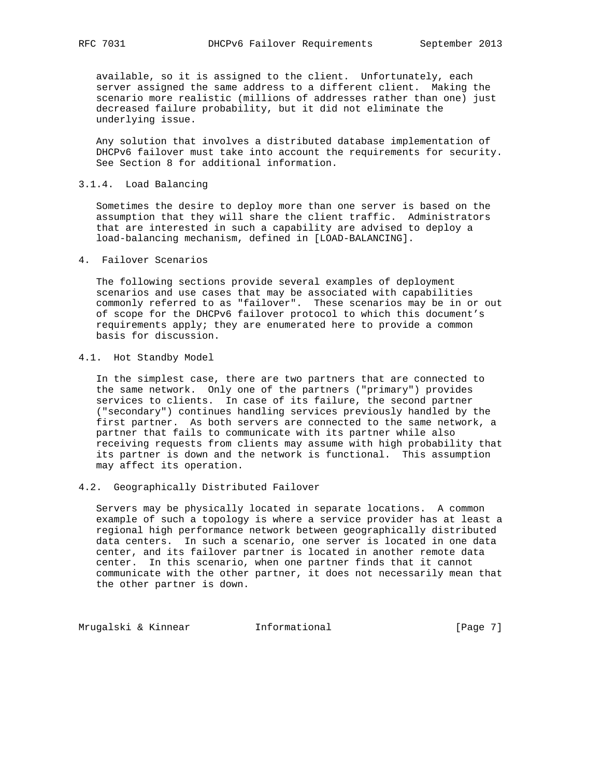available, so it is assigned to the client. Unfortunately, each server assigned the same address to a different client. Making the scenario more realistic (millions of addresses rather than one) just decreased failure probability, but it did not eliminate the underlying issue.

 Any solution that involves a distributed database implementation of DHCPv6 failover must take into account the requirements for security. See Section 8 for additional information.

## 3.1.4. Load Balancing

 Sometimes the desire to deploy more than one server is based on the assumption that they will share the client traffic. Administrators that are interested in such a capability are advised to deploy a load-balancing mechanism, defined in [LOAD-BALANCING].

## 4. Failover Scenarios

 The following sections provide several examples of deployment scenarios and use cases that may be associated with capabilities commonly referred to as "failover". These scenarios may be in or out of scope for the DHCPv6 failover protocol to which this document's requirements apply; they are enumerated here to provide a common basis for discussion.

# 4.1. Hot Standby Model

 In the simplest case, there are two partners that are connected to the same network. Only one of the partners ("primary") provides services to clients. In case of its failure, the second partner ("secondary") continues handling services previously handled by the first partner. As both servers are connected to the same network, a partner that fails to communicate with its partner while also receiving requests from clients may assume with high probability that its partner is down and the network is functional. This assumption may affect its operation.

# 4.2. Geographically Distributed Failover

 Servers may be physically located in separate locations. A common example of such a topology is where a service provider has at least a regional high performance network between geographically distributed data centers. In such a scenario, one server is located in one data center, and its failover partner is located in another remote data center. In this scenario, when one partner finds that it cannot communicate with the other partner, it does not necessarily mean that the other partner is down.

Mrugalski & Kinnear **Informational** 111 (Page 7)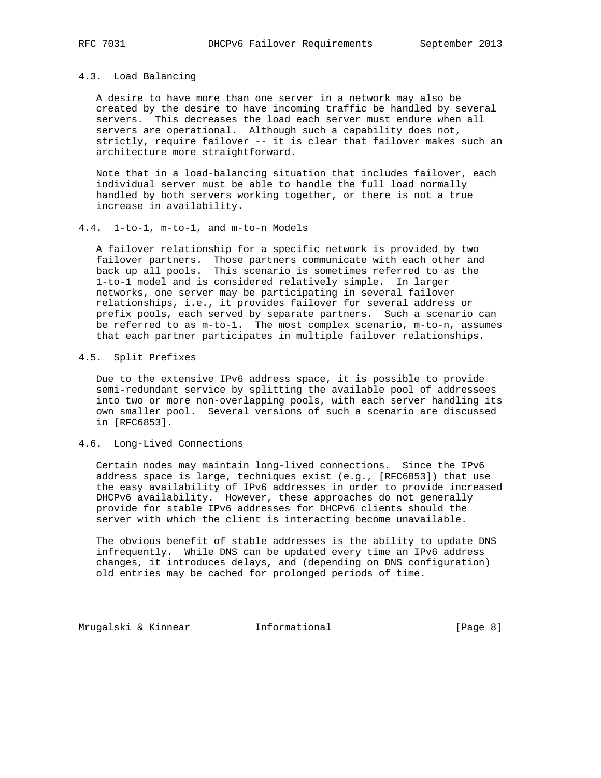# 4.3. Load Balancing

 A desire to have more than one server in a network may also be created by the desire to have incoming traffic be handled by several servers. This decreases the load each server must endure when all servers are operational. Although such a capability does not, strictly, require failover -- it is clear that failover makes such an architecture more straightforward.

 Note that in a load-balancing situation that includes failover, each individual server must be able to handle the full load normally handled by both servers working together, or there is not a true increase in availability.

#### 4.4. 1-to-1, m-to-1, and m-to-n Models

 A failover relationship for a specific network is provided by two failover partners. Those partners communicate with each other and back up all pools. This scenario is sometimes referred to as the 1-to-1 model and is considered relatively simple. In larger networks, one server may be participating in several failover relationships, i.e., it provides failover for several address or prefix pools, each served by separate partners. Such a scenario can be referred to as m-to-1. The most complex scenario, m-to-n, assumes that each partner participates in multiple failover relationships.

#### 4.5. Split Prefixes

 Due to the extensive IPv6 address space, it is possible to provide semi-redundant service by splitting the available pool of addressees into two or more non-overlapping pools, with each server handling its own smaller pool. Several versions of such a scenario are discussed in [RFC6853].

### 4.6. Long-Lived Connections

 Certain nodes may maintain long-lived connections. Since the IPv6 address space is large, techniques exist (e.g., [RFC6853]) that use the easy availability of IPv6 addresses in order to provide increased DHCPv6 availability. However, these approaches do not generally provide for stable IPv6 addresses for DHCPv6 clients should the server with which the client is interacting become unavailable.

 The obvious benefit of stable addresses is the ability to update DNS infrequently. While DNS can be updated every time an IPv6 address changes, it introduces delays, and (depending on DNS configuration) old entries may be cached for prolonged periods of time.

Mrugalski & Kinnear **Informational Informational** [Page 8]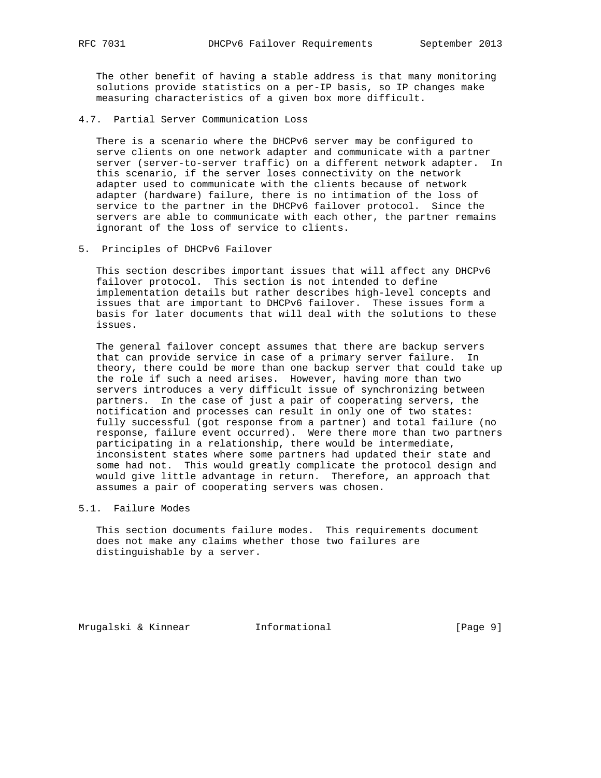The other benefit of having a stable address is that many monitoring solutions provide statistics on a per-IP basis, so IP changes make measuring characteristics of a given box more difficult.

4.7. Partial Server Communication Loss

 There is a scenario where the DHCPv6 server may be configured to serve clients on one network adapter and communicate with a partner server (server-to-server traffic) on a different network adapter. In this scenario, if the server loses connectivity on the network adapter used to communicate with the clients because of network adapter (hardware) failure, there is no intimation of the loss of service to the partner in the DHCPv6 failover protocol. Since the servers are able to communicate with each other, the partner remains ignorant of the loss of service to clients.

5. Principles of DHCPv6 Failover

 This section describes important issues that will affect any DHCPv6 failover protocol. This section is not intended to define implementation details but rather describes high-level concepts and issues that are important to DHCPv6 failover. These issues form a basis for later documents that will deal with the solutions to these issues.

 The general failover concept assumes that there are backup servers that can provide service in case of a primary server failure. In theory, there could be more than one backup server that could take up the role if such a need arises. However, having more than two servers introduces a very difficult issue of synchronizing between partners. In the case of just a pair of cooperating servers, the notification and processes can result in only one of two states: fully successful (got response from a partner) and total failure (no response, failure event occurred). Were there more than two partners participating in a relationship, there would be intermediate, inconsistent states where some partners had updated their state and some had not. This would greatly complicate the protocol design and would give little advantage in return. Therefore, an approach that assumes a pair of cooperating servers was chosen.

5.1. Failure Modes

 This section documents failure modes. This requirements document does not make any claims whether those two failures are distinguishable by a server.

Mrugalski & Kinnear **Informational Informational** [Page 9]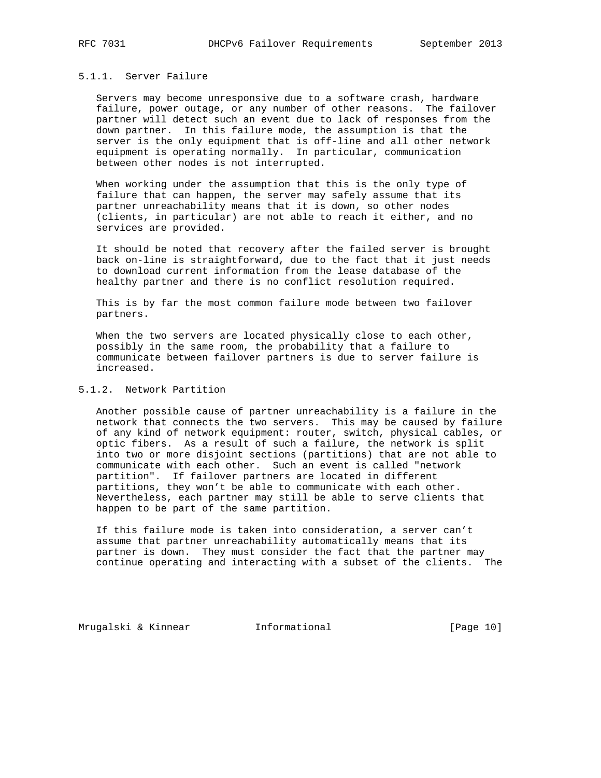# 5.1.1. Server Failure

 Servers may become unresponsive due to a software crash, hardware failure, power outage, or any number of other reasons. The failover partner will detect such an event due to lack of responses from the down partner. In this failure mode, the assumption is that the server is the only equipment that is off-line and all other network equipment is operating normally. In particular, communication between other nodes is not interrupted.

 When working under the assumption that this is the only type of failure that can happen, the server may safely assume that its partner unreachability means that it is down, so other nodes (clients, in particular) are not able to reach it either, and no services are provided.

 It should be noted that recovery after the failed server is brought back on-line is straightforward, due to the fact that it just needs to download current information from the lease database of the healthy partner and there is no conflict resolution required.

 This is by far the most common failure mode between two failover partners.

When the two servers are located physically close to each other, possibly in the same room, the probability that a failure to communicate between failover partners is due to server failure is increased.

# 5.1.2. Network Partition

 Another possible cause of partner unreachability is a failure in the network that connects the two servers. This may be caused by failure of any kind of network equipment: router, switch, physical cables, or optic fibers. As a result of such a failure, the network is split into two or more disjoint sections (partitions) that are not able to communicate with each other. Such an event is called "network partition". If failover partners are located in different partitions, they won't be able to communicate with each other. Nevertheless, each partner may still be able to serve clients that happen to be part of the same partition.

 If this failure mode is taken into consideration, a server can't assume that partner unreachability automatically means that its partner is down. They must consider the fact that the partner may continue operating and interacting with a subset of the clients. The

Mrugalski & Kinnear **Informational** [Page 10]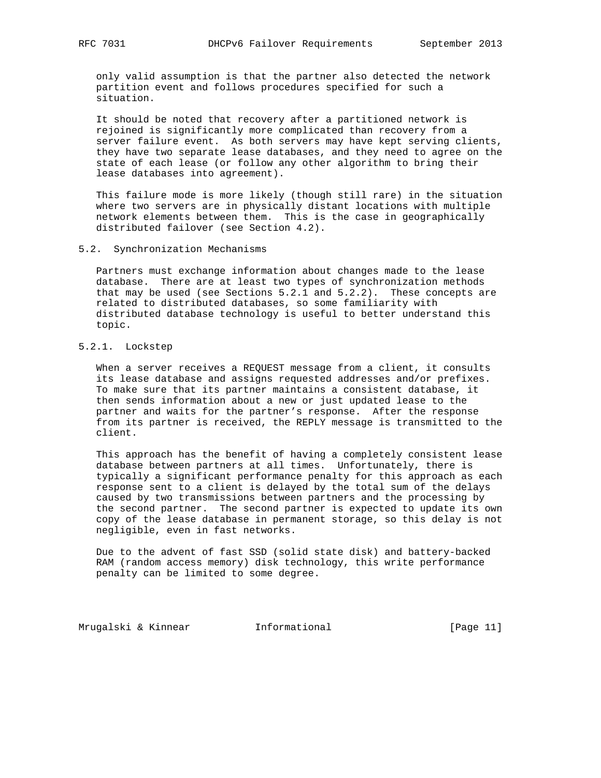only valid assumption is that the partner also detected the network partition event and follows procedures specified for such a situation.

 It should be noted that recovery after a partitioned network is rejoined is significantly more complicated than recovery from a server failure event. As both servers may have kept serving clients, they have two separate lease databases, and they need to agree on the state of each lease (or follow any other algorithm to bring their lease databases into agreement).

 This failure mode is more likely (though still rare) in the situation where two servers are in physically distant locations with multiple network elements between them. This is the case in geographically distributed failover (see Section 4.2).

#### 5.2. Synchronization Mechanisms

 Partners must exchange information about changes made to the lease database. There are at least two types of synchronization methods that may be used (see Sections 5.2.1 and 5.2.2). These concepts are related to distributed databases, so some familiarity with distributed database technology is useful to better understand this topic.

# 5.2.1. Lockstep

 When a server receives a REQUEST message from a client, it consults its lease database and assigns requested addresses and/or prefixes. To make sure that its partner maintains a consistent database, it then sends information about a new or just updated lease to the partner and waits for the partner's response. After the response from its partner is received, the REPLY message is transmitted to the client.

 This approach has the benefit of having a completely consistent lease database between partners at all times. Unfortunately, there is typically a significant performance penalty for this approach as each response sent to a client is delayed by the total sum of the delays caused by two transmissions between partners and the processing by the second partner. The second partner is expected to update its own copy of the lease database in permanent storage, so this delay is not negligible, even in fast networks.

 Due to the advent of fast SSD (solid state disk) and battery-backed RAM (random access memory) disk technology, this write performance penalty can be limited to some degree.

Mrugalski & Kinnear **Informational** [Page 11]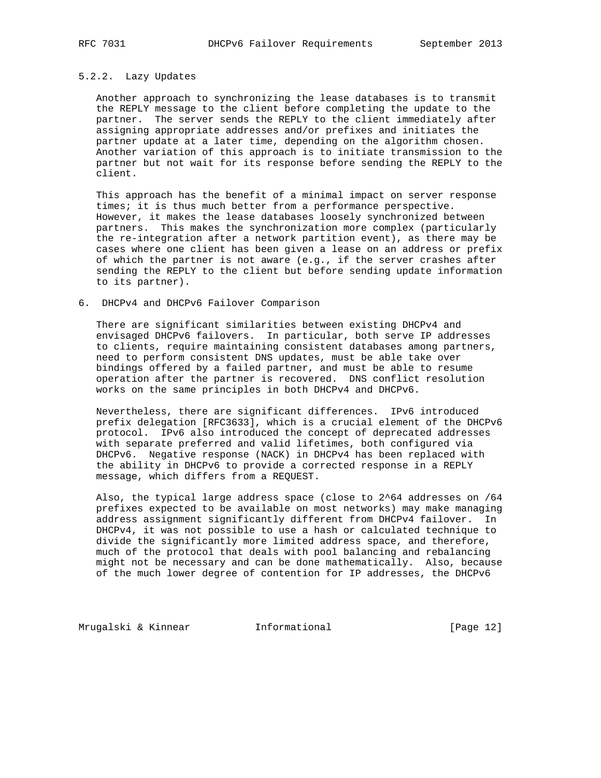# 5.2.2. Lazy Updates

 Another approach to synchronizing the lease databases is to transmit the REPLY message to the client before completing the update to the partner. The server sends the REPLY to the client immediately after assigning appropriate addresses and/or prefixes and initiates the partner update at a later time, depending on the algorithm chosen. Another variation of this approach is to initiate transmission to the partner but not wait for its response before sending the REPLY to the client.

 This approach has the benefit of a minimal impact on server response times; it is thus much better from a performance perspective. However, it makes the lease databases loosely synchronized between partners. This makes the synchronization more complex (particularly the re-integration after a network partition event), as there may be cases where one client has been given a lease on an address or prefix of which the partner is not aware (e.g., if the server crashes after sending the REPLY to the client but before sending update information to its partner).

## 6. DHCPv4 and DHCPv6 Failover Comparison

 There are significant similarities between existing DHCPv4 and envisaged DHCPv6 failovers. In particular, both serve IP addresses to clients, require maintaining consistent databases among partners, need to perform consistent DNS updates, must be able take over bindings offered by a failed partner, and must be able to resume operation after the partner is recovered. DNS conflict resolution works on the same principles in both DHCPv4 and DHCPv6.

 Nevertheless, there are significant differences. IPv6 introduced prefix delegation [RFC3633], which is a crucial element of the DHCPv6 protocol. IPv6 also introduced the concept of deprecated addresses with separate preferred and valid lifetimes, both configured via DHCPv6. Negative response (NACK) in DHCPv4 has been replaced with the ability in DHCPv6 to provide a corrected response in a REPLY message, which differs from a REQUEST.

 Also, the typical large address space (close to 2^64 addresses on /64 prefixes expected to be available on most networks) may make managing address assignment significantly different from DHCPv4 failover. In DHCPv4, it was not possible to use a hash or calculated technique to divide the significantly more limited address space, and therefore, much of the protocol that deals with pool balancing and rebalancing might not be necessary and can be done mathematically. Also, because of the much lower degree of contention for IP addresses, the DHCPv6

Mrugalski & Kinnear **Informational** [Page 12]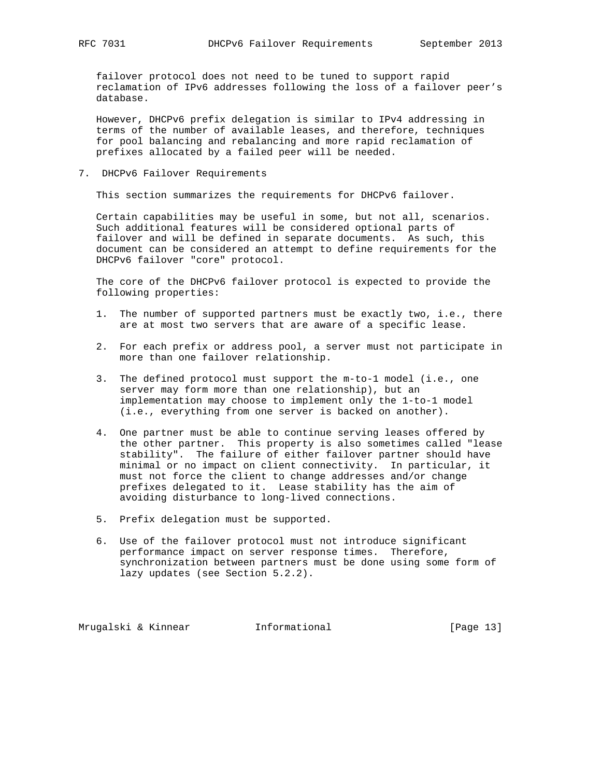failover protocol does not need to be tuned to support rapid reclamation of IPv6 addresses following the loss of a failover peer's database.

 However, DHCPv6 prefix delegation is similar to IPv4 addressing in terms of the number of available leases, and therefore, techniques for pool balancing and rebalancing and more rapid reclamation of prefixes allocated by a failed peer will be needed.

7. DHCPv6 Failover Requirements

This section summarizes the requirements for DHCPv6 failover.

 Certain capabilities may be useful in some, but not all, scenarios. Such additional features will be considered optional parts of failover and will be defined in separate documents. As such, this document can be considered an attempt to define requirements for the DHCPv6 failover "core" protocol.

 The core of the DHCPv6 failover protocol is expected to provide the following properties:

- 1. The number of supported partners must be exactly two, i.e., there are at most two servers that are aware of a specific lease.
- 2. For each prefix or address pool, a server must not participate in more than one failover relationship.
- 3. The defined protocol must support the m-to-1 model (i.e., one server may form more than one relationship), but an implementation may choose to implement only the 1-to-1 model (i.e., everything from one server is backed on another).
- 4. One partner must be able to continue serving leases offered by the other partner. This property is also sometimes called "lease stability". The failure of either failover partner should have minimal or no impact on client connectivity. In particular, it must not force the client to change addresses and/or change prefixes delegated to it. Lease stability has the aim of avoiding disturbance to long-lived connections.
- 5. Prefix delegation must be supported.
- 6. Use of the failover protocol must not introduce significant performance impact on server response times. Therefore, synchronization between partners must be done using some form of lazy updates (see Section 5.2.2).

Mrugalski & Kinnear **Informational** [Page 13]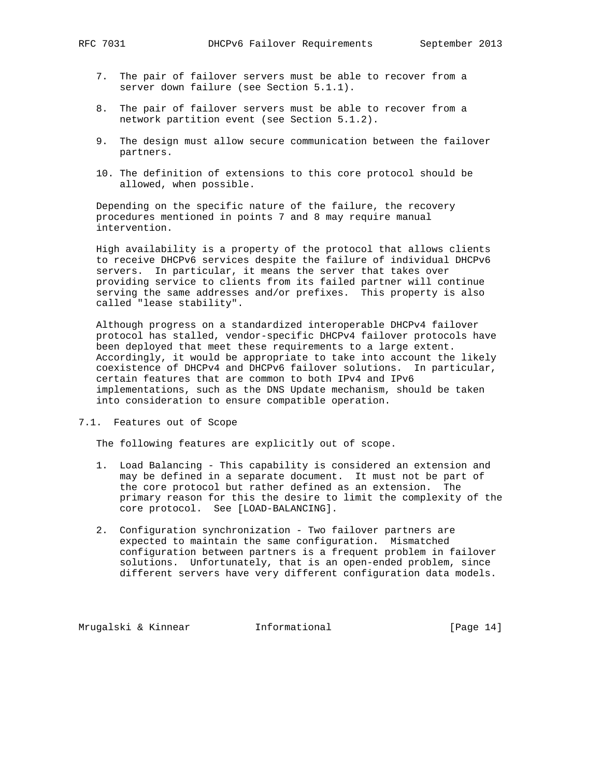- 7. The pair of failover servers must be able to recover from a server down failure (see Section 5.1.1).
- 8. The pair of failover servers must be able to recover from a network partition event (see Section 5.1.2).
- 9. The design must allow secure communication between the failover partners.
- 10. The definition of extensions to this core protocol should be allowed, when possible.

 Depending on the specific nature of the failure, the recovery procedures mentioned in points 7 and 8 may require manual intervention.

 High availability is a property of the protocol that allows clients to receive DHCPv6 services despite the failure of individual DHCPv6 servers. In particular, it means the server that takes over providing service to clients from its failed partner will continue serving the same addresses and/or prefixes. This property is also called "lease stability".

 Although progress on a standardized interoperable DHCPv4 failover protocol has stalled, vendor-specific DHCPv4 failover protocols have been deployed that meet these requirements to a large extent. Accordingly, it would be appropriate to take into account the likely coexistence of DHCPv4 and DHCPv6 failover solutions. In particular, certain features that are common to both IPv4 and IPv6 implementations, such as the DNS Update mechanism, should be taken into consideration to ensure compatible operation.

7.1. Features out of Scope

The following features are explicitly out of scope.

- 1. Load Balancing This capability is considered an extension and may be defined in a separate document. It must not be part of the core protocol but rather defined as an extension. The primary reason for this the desire to limit the complexity of the core protocol. See [LOAD-BALANCING].
- 2. Configuration synchronization Two failover partners are expected to maintain the same configuration. Mismatched configuration between partners is a frequent problem in failover solutions. Unfortunately, that is an open-ended problem, since different servers have very different configuration data models.

Mrugalski & Kinnear **Informational** [Page 14]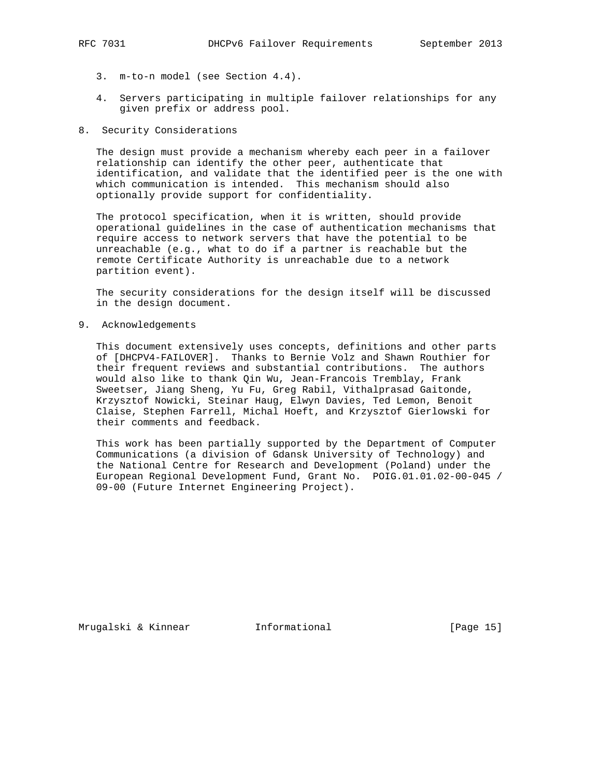- 3. m-to-n model (see Section 4.4).
- 4. Servers participating in multiple failover relationships for any given prefix or address pool.
- 8. Security Considerations

 The design must provide a mechanism whereby each peer in a failover relationship can identify the other peer, authenticate that identification, and validate that the identified peer is the one with which communication is intended. This mechanism should also optionally provide support for confidentiality.

 The protocol specification, when it is written, should provide operational guidelines in the case of authentication mechanisms that require access to network servers that have the potential to be unreachable (e.g., what to do if a partner is reachable but the remote Certificate Authority is unreachable due to a network partition event).

 The security considerations for the design itself will be discussed in the design document.

9. Acknowledgements

 This document extensively uses concepts, definitions and other parts of [DHCPV4-FAILOVER]. Thanks to Bernie Volz and Shawn Routhier for their frequent reviews and substantial contributions. The authors would also like to thank Qin Wu, Jean-Francois Tremblay, Frank Sweetser, Jiang Sheng, Yu Fu, Greg Rabil, Vithalprasad Gaitonde, Krzysztof Nowicki, Steinar Haug, Elwyn Davies, Ted Lemon, Benoit Claise, Stephen Farrell, Michal Hoeft, and Krzysztof Gierlowski for their comments and feedback.

 This work has been partially supported by the Department of Computer Communications (a division of Gdansk University of Technology) and the National Centre for Research and Development (Poland) under the European Regional Development Fund, Grant No. POIG.01.01.02-00-045 / 09-00 (Future Internet Engineering Project).

Mrugalski & Kinnear **Informational** [Page 15]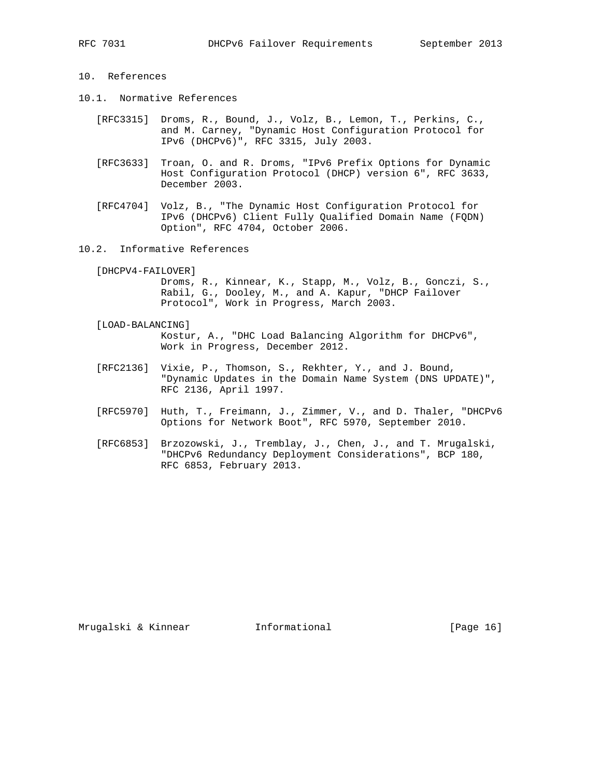- 10. References
- 10.1. Normative References
	- [RFC3315] Droms, R., Bound, J., Volz, B., Lemon, T., Perkins, C., and M. Carney, "Dynamic Host Configuration Protocol for IPv6 (DHCPv6)", RFC 3315, July 2003.
	- [RFC3633] Troan, O. and R. Droms, "IPv6 Prefix Options for Dynamic Host Configuration Protocol (DHCP) version 6", RFC 3633, December 2003.
	- [RFC4704] Volz, B., "The Dynamic Host Configuration Protocol for IPv6 (DHCPv6) Client Fully Qualified Domain Name (FQDN) Option", RFC 4704, October 2006.
- 10.2. Informative References

 [DHCPV4-FAILOVER] Droms, R., Kinnear, K., Stapp, M., Volz, B., Gonczi, S., Rabil, G., Dooley, M., and A. Kapur, "DHCP Failover

- Protocol", Work in Progress, March 2003.
- [LOAD-BALANCING] Kostur, A., "DHC Load Balancing Algorithm for DHCPv6", Work in Progress, December 2012.
- [RFC2136] Vixie, P., Thomson, S., Rekhter, Y., and J. Bound, "Dynamic Updates in the Domain Name System (DNS UPDATE)", RFC 2136, April 1997.
- [RFC5970] Huth, T., Freimann, J., Zimmer, V., and D. Thaler, "DHCPv6 Options for Network Boot", RFC 5970, September 2010.
- [RFC6853] Brzozowski, J., Tremblay, J., Chen, J., and T. Mrugalski, "DHCPv6 Redundancy Deployment Considerations", BCP 180, RFC 6853, February 2013.